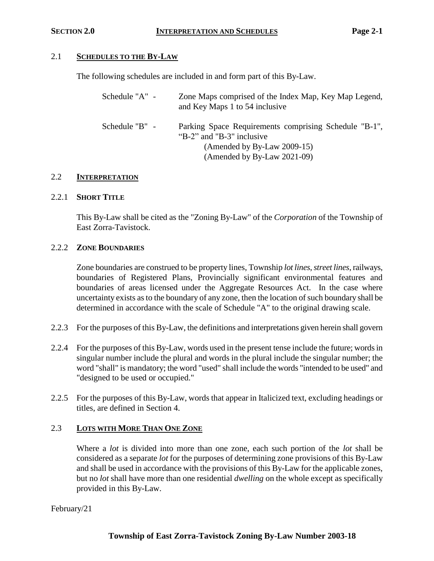# 2.1 **SCHEDULES TO THE BY-LAW**

The following schedules are included in and form part of this By-Law.

| Schedule "A" - | Zone Maps comprised of the Index Map, Key Map Legend,<br>and Key Maps 1 to 54 inclusive                                                          |
|----------------|--------------------------------------------------------------------------------------------------------------------------------------------------|
| Schedule "B" - | Parking Space Requirements comprising Schedule "B-1",<br>"B-2" and "B-3" inclusive<br>(Amended by By-Law 2009-15)<br>(Amended by By-Law 2021-09) |

### 2.2 **INTERPRETATION**

### 2.2.1 **SHORT TITLE**

This By-Law shall be cited as the "Zoning By-Law" of the *Corporation* of the Township of East Zorra-Tavistock.

# 2.2.2 **ZONE BOUNDARIES**

Zone boundaries are construed to be property lines, Township *lot lines*, *street lines*, railways, boundaries of Registered Plans, Provincially significant environmental features and boundaries of areas licensed under the Aggregate Resources Act. In the case where uncertainty exists as to the boundary of any zone, then the location of such boundary shall be determined in accordance with the scale of Schedule "A" to the original drawing scale.

- 2.2.3 For the purposes of this By-Law, the definitions and interpretations given herein shall govern
- 2.2.4 For the purposes of this By-Law, words used in the present tense include the future; words in singular number include the plural and words in the plural include the singular number; the word "shall" is mandatory; the word "used" shall include the words "intended to be used" and "designed to be used or occupied."
- 2.2.5 For the purposes of this By-Law, words that appear in Italicized text, excluding headings or titles, are defined in Section 4.

# 2.3 **LOTS WITH MORE THAN ONE ZONE**

Where a *lot* is divided into more than one zone, each such portion of the *lot* shall be considered as a separate *lot* for the purposes of determining zone provisions of this By-Law and shall be used in accordance with the provisions of this By-Law for the applicable zones, but no *lot* shall have more than one residential *dwelling* on the whole except as specifically provided in this By-Law.

February/21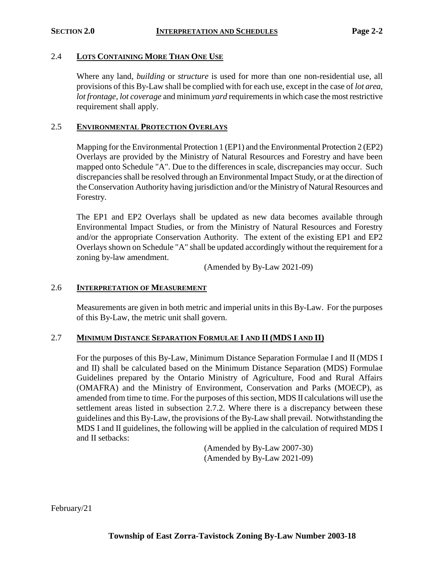#### 2.4 **LOTS CONTAINING MORE THAN ONE USE**

Where any land, *building* or *structure* is used for more than one non-residential use, all provisions of this By-Law shall be complied with for each use, except in the case of *lot area*, *lot frontage*, *lot coverage* and minimum *yard* requirements in which case the most restrictive requirement shall apply.

# 2.5 **ENVIRONMENTAL PROTECTION OVERLAYS**

Mapping for the Environmental Protection 1 (EP1) and the Environmental Protection 2 (EP2) Overlays are provided by the Ministry of Natural Resources and Forestry and have been mapped onto Schedule "A". Due to the differences in scale, discrepancies may occur. Such discrepancies shall be resolved through an Environmental Impact Study, or at the direction of the Conservation Authority having jurisdiction and/or the Ministry of Natural Resources and Forestry.

The EP1 and EP2 Overlays shall be updated as new data becomes available through Environmental Impact Studies, or from the Ministry of Natural Resources and Forestry and/or the appropriate Conservation Authority. The extent of the existing EP1 and EP2 Overlays shown on Schedule "A" shall be updated accordingly without the requirement for a zoning by-law amendment.

(Amended by By-Law 2021-09)

### 2.6 **INTERPRETATION OF MEASUREMENT**

Measurements are given in both metric and imperial units in this By-Law. For the purposes of this By-Law, the metric unit shall govern.

### 2.7 **MINIMUM DISTANCE SEPARATION FORMULAE I AND II (MDS I AND II)**

For the purposes of this By-Law, Minimum Distance Separation Formulae I and II (MDS I and II) shall be calculated based on the Minimum Distance Separation (MDS) Formulae Guidelines prepared by the Ontario Ministry of Agriculture, Food and Rural Affairs (OMAFRA) and the Ministry of Environment, Conservation and Parks (MOECP), as amended from time to time. For the purposes of this section, MDS II calculations will use the settlement areas listed in subsection 2.7.2. Where there is a discrepancy between these guidelines and this By-Law, the provisions of the By-Law shall prevail. Notwithstanding the MDS I and II guidelines, the following will be applied in the calculation of required MDS I and II setbacks:

> (Amended by By-Law 2007-30) (Amended by By-Law 2021-09)

February/21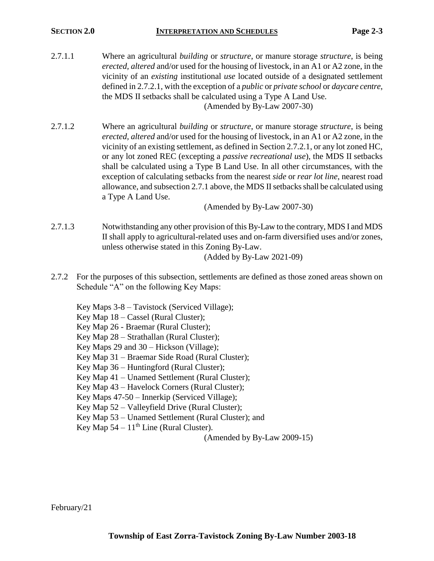- 2.7.1.1 Where an agricultural *building* or *structure*, or manure storage *structure*, is being *erected, altered* and/or used for the housing of livestock, in an A1 or A2 zone, in the vicinity of an *existing* institutional *use* located outside of a designated settlement defined in 2.7.2.1, with the exception of a *public* or *private school* or *daycare centre*, the MDS II setbacks shall be calculated using a Type A Land Use. (Amended by By-Law 2007-30)
- 2.7.1.2 Where an agricultural *building* or *structure*, or manure storage *structure*, is being *erected, altered* and/or used for the housing of livestock, in an A1 or A2 zone, in the vicinity of an existing settlement, as defined in Section 2.7.2.1, or any lot zoned HC, or any lot zoned REC (excepting a *passive recreational use*), the MDS II setbacks shall be calculated using a Type B Land Use. In all other circumstances, with the exception of calculating setbacks from the nearest *side* or *rear lot line*, nearest road allowance, and subsection 2.7.1 above, the MDS II setbacks shall be calculated using a Type A Land Use.

(Amended by By-Law 2007-30)

- 2.7.1.3 Notwithstanding any other provision of this By-Law to the contrary, MDS I and MDS II shall apply to agricultural-related uses and on-farm diversified uses and/or zones, unless otherwise stated in this Zoning By-Law. (Added by By-Law 2021-09)
	-
- 2.7.2 For the purposes of this subsection, settlements are defined as those zoned areas shown on Schedule "A" on the following Key Maps:
	- Key Maps 3-8 Tavistock (Serviced Village);
	- Key Map 18 Cassel (Rural Cluster);
	- Key Map 26 Braemar (Rural Cluster);
	- Key Map 28 Strathallan (Rural Cluster);
	- Key Maps 29 and 30 Hickson (Village);
	- Key Map 31 Braemar Side Road (Rural Cluster);
	- Key Map 36 Huntingford (Rural Cluster);
	- Key Map 41 Unamed Settlement (Rural Cluster);
	- Key Map 43 Havelock Corners (Rural Cluster);
	- Key Maps 47-50 Innerkip (Serviced Village);
	- Key Map 52 Valleyfield Drive (Rural Cluster);
	- Key Map 53 Unamed Settlement (Rural Cluster); and
	- Key Map  $54 11<sup>th</sup>$  Line (Rural Cluster).

(Amended by By-Law 2009-15)

February/21